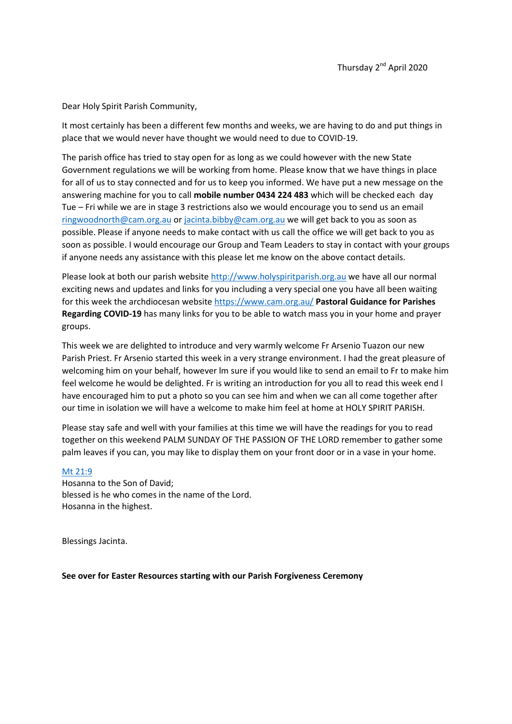Dear Holy Spirit Parish Community,

It most certainly has been a different few months and weeks, we are having to do and put things in place that we would never have thought we would need to due to COVID-19.

The parish office has tried to stay open for as long as we could however with the new State Government regulations we will be working from home. Please know that we have things in place for all of us to stay connected and for us to keep you informed. We have put a new message on the answering machine for you to call **mobile number 0434 224 483** which will be checked each day Tue – Fri while we are in stage 3 restrictions also we would encourage you to send us an email [ringwoodnorth@cam.org.au](mailto:ringwoodnorth@cam.org.au) or [jacinta.bibby@cam.org.au](mailto:jacinta.bibby@cam.org.au) we will get back to you as soon as possible. Please if anyone needs to make contact with us call the office we will get back to you as soon as possible. I would encourage our Group and Team Leaders to stay in contact with your groups if anyone needs any assistance with this please let me know on the above contact details.

Please look at both our parish website [http://www.holyspiritparish.org.au](http://www.holyspiritparish.org.au/) we have all our normal exciting news and updates and links for you including a very special one you have all been waiting for this week the archdiocesan website<https://www.cam.org.au/> **Pastoral Guidance for Parishes Regarding COVID-19** has many links for you to be able to watch mass you in your home and prayer groups.

This week we are delighted to introduce and very warmly welcome Fr Arsenio Tuazon our new Parish Priest. Fr Arsenio started this week in a very strange environment. I had the great pleasure of welcoming him on your behalf, however lm sure if you would like to send an email to Fr to make him feel welcome he would be delighted. Fr is writing an introduction for you all to read this week end l have encouraged him to put a photo so you can see him and when we can all come together after our time in isolation we will have a welcome to make him feel at home at HOLY SPIRIT PARISH.

Please stay safe and well with your families at this time we will have the readings for you to read together on this weekend PALM SUNDAY OF THE PASSION OF THE LORD remember to gather some palm leaves if you can, you may like to display them on your front door or in a vase in your home.

## [Mt 21:9](https://www.catholic.org/bible/book.php?id=47&bible_chapter=21#9)

Hosanna to the Son of David; blessed is he who comes in the name of the Lord. Hosanna in the highest.

Blessings Jacinta.

**See over for Easter Resources starting with our Parish Forgiveness Ceremony**